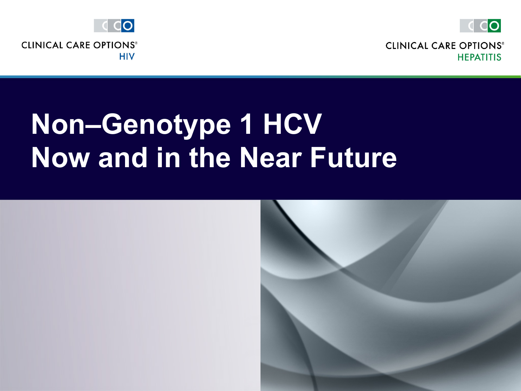

**CLINICAL CARE OPTIONS® HEPATITIS** 



## **Non–Genotype 1 HCV Now and in the Near Future**

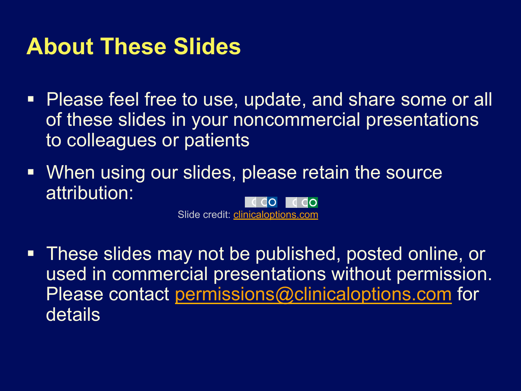#### **About These Slides**

- Please feel free to use, update, and share some or all of these slides in your noncommercial presentations to colleagues or patients
- When using our slides, please retain the source attribution: do I d do

Slide credit: clinicaloptions.com

■ These slides may not be published, posted online, or used in commercial presentations without permission. Please contact permissions@clinicaloptions.com for details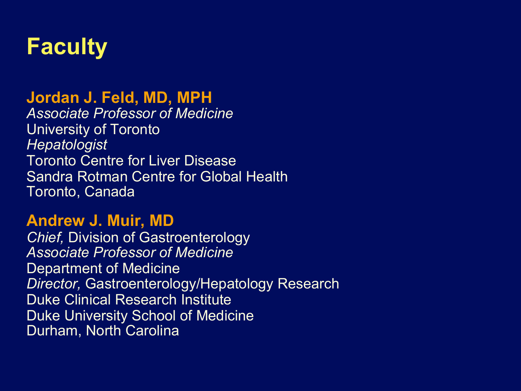

#### **Jordan J. Feld, MD, MPH**

*Associate Professor of Medicine* University of Toronto *Hepatologist* Toronto Centre for Liver Disease Sandra Rotman Centre for Global Health Toronto, Canada

#### **Andrew J. Muir, MD**

*Chief,* Division of Gastroenterology *Associate Professor of Medicine* Department of Medicine *Director,* Gastroenterology/Hepatology Research Duke Clinical Research Institute Duke University School of Medicine Durham, North Carolina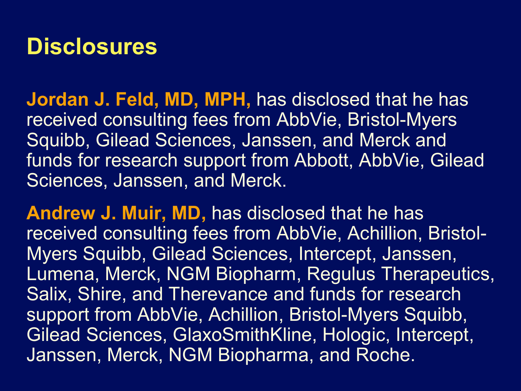### **Disclosures**

**Jordan J. Feld, MD, MPH,** has disclosed that he has received consulting fees from AbbVie, Bristol-Myers Squibb, Gilead Sciences, Janssen, and Merck and funds for research support from Abbott, AbbVie, Gilead Sciences, Janssen, and Merck.

**Andrew J. Muir, MD,** has disclosed that he has received consulting fees from AbbVie, Achillion, Bristol-Myers Squibb, Gilead Sciences, Intercept, Janssen, Lumena, Merck, NGM Biopharm, Regulus Therapeutics, Salix, Shire, and Therevance and funds for research support from AbbVie, Achillion, Bristol-Myers Squibb, Gilead Sciences, GlaxoSmithKline, Hologic, Intercept, Janssen, Merck, NGM Biopharma, and Roche.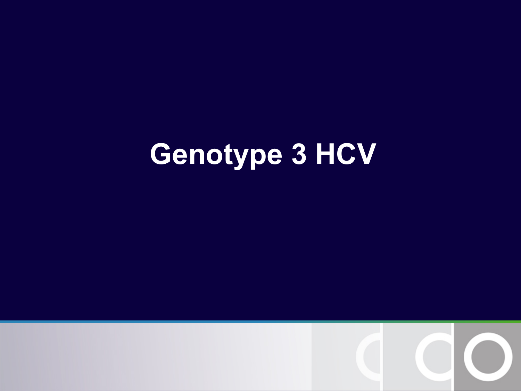# **Genotype 3 HCV**

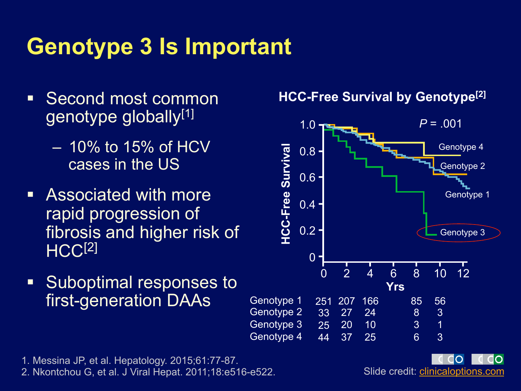### **Genotype 3 Is Important**

- Second most common genotype globally<sup>[1]</sup>
	- 10% to 15% of HCV cases in the US
- Associated with more rapid progression of fibrosis and higher risk of HCC<sup>[2]</sup>
- Suboptimal responses to first-generation DAAs

#### **HCC-Free Survival by Genotype[2]**



1. Messina JP, et al. Hepatology. 2015;61:77-87.

2. Nkontchou G, et al. J Viral Hepat. 2011;18:e516-e522.

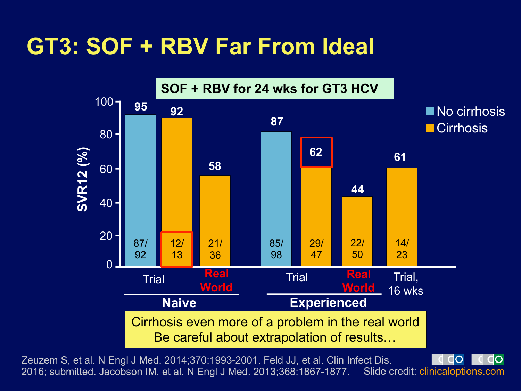### **GT3: SOF + RBV Far From Ideal**



Zeuzem S, et al. N Engl J Med. 2014;370:1993-2001. Feld JJ, et al. Clin Infect Dis. 2016; submitted. Jacobson IM, et al. N Engl J Med. 2013;368:1867-1877. Slide credit: clinicaloptions.com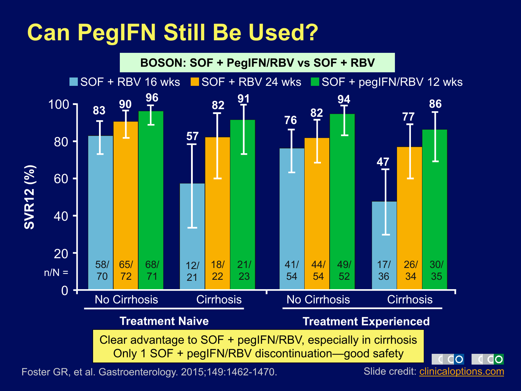### **Can PegIFN Still Be Used?**



Foster GR, et al. Gastroenterology. 2015;149:1462-1470. Slide credit: *clinicaloptions.com*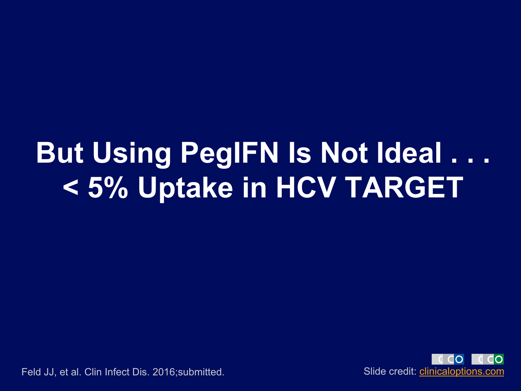## **But Using PegIFN Is Not Ideal . . . < 5% Uptake in HCV TARGET**



Feld JJ, et al. Clin Infect Dis. 2016;submitted. Slide credit: clinicaloptions.com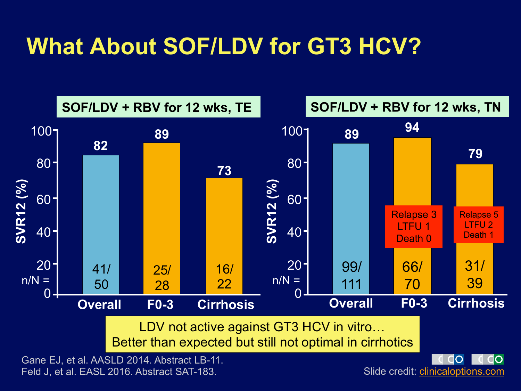### **What About SOF/LDV for GT3 HCV?**



Feld J, et al. EASL 2016. Abstract SAT-183.

Slide credit: clinicaloptions.com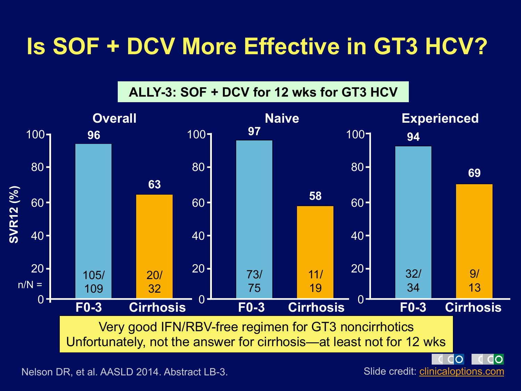### **Is SOF + DCV More Effective in GT3 HCV?**

**ALLY-3: SOF + DCV for 12 wks for GT3 HCV** 



Nelson DR, et al. AASLD 2014. Abstract LB-3. Slide credit: *clinicaloptions.com*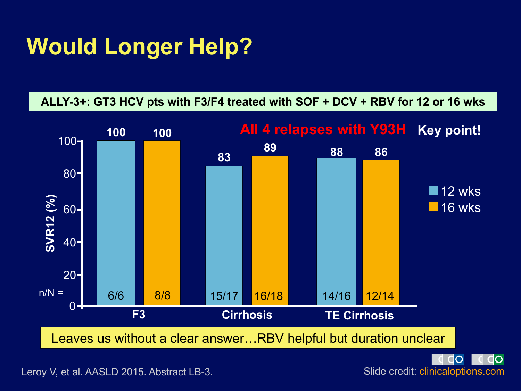### **Would Longer Help?**

#### **ALLY-3+: GT3 HCV pts with F3/F4 treated with SOF + DCV + RBV for 12 or 16 wks**





Leroy V, et al. AASLD 2015. Abstract LB-3.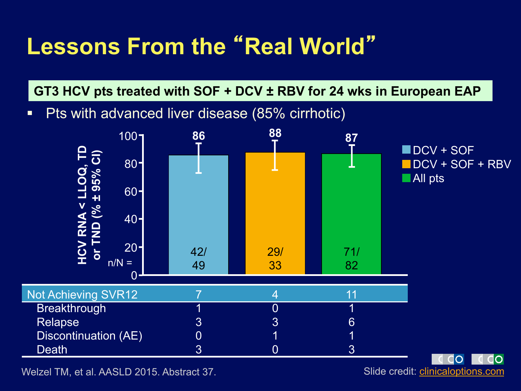### **Lessons From the** "**Real World**"

**GT3 HCV pts treated with SOF + DCV ± RBV for 24 wks in European EAP** 

■ Pts with advanced liver disease (85% cirrhotic)



Welzel TM, et al. AASLD 2015. Abstract 37. Slide credit: *clinicaloptions.com*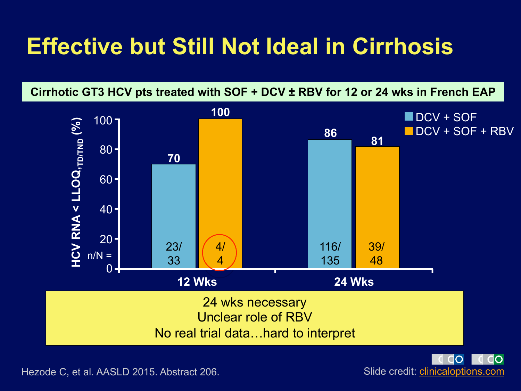### **Effective but Still Not Ideal in Cirrhosis**

**Cirrhotic GT3 HCV pts treated with SOF + DCV ± RBV for 12 or 24 wks in French EAP** 



 $\Omega$ 

Hezode C, et al. AASLD 2015. Abstract 206. Slide credit: *clinicaloptions.com*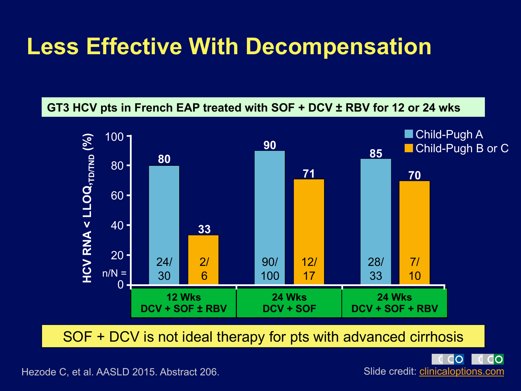### **Less Effective With Decompensation**





SOF + DCV is not ideal therapy for pts with advanced cirrhosis

CO do Slide credit: clinicaloptions.com

Hezode C, et al. AASLD 2015. Abstract 206.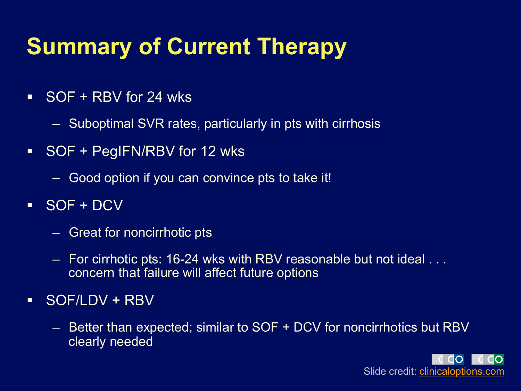### **Summary of Current Therapy**

- $\overline{\phantom{0}}$  SOF + RBV for 24 wks
	- Suboptimal SVR rates, particularly in pts with cirrhosis
- SOF + PegIFN/RBV for 12 wks
	- Good option if you can convince pts to take it!
- § SOF + DCV
	- Great for noncirrhotic pts
	- For cirrhotic pts: 16-24 wks with RBV reasonable but not ideal . . . concern that failure will affect future options
- § SOF/LDV + RBV
	- Better than expected; similar to SOF + DCV for noncirrhotics but RBV clearly needed

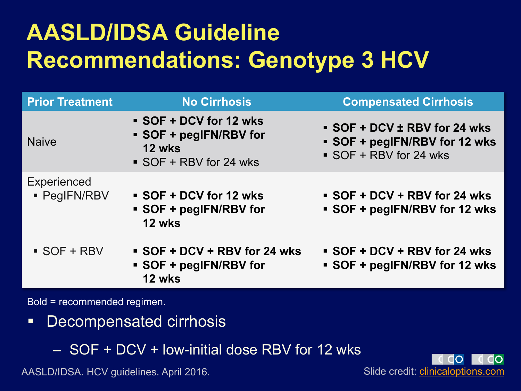### **AASLD/IDSA Guideline Recommendations: Genotype 3 HCV**

| <b>Prior Treatment</b>             | <b>No Cirrhosis</b>                                                              | <b>Compensated Cirrhosis</b>                                                      |
|------------------------------------|----------------------------------------------------------------------------------|-----------------------------------------------------------------------------------|
| <b>Naive</b>                       | SOF + DCV for 12 wks<br>• SOF + pegIFN/RBV for<br>12 wks<br>SOF + RBV for 24 wks | SOF + DCV ± RBV for 24 wks<br>SOF + pegIFN/RBV for 12 wks<br>SOF + RBV for 24 wks |
| <b>Experienced</b><br>• PegIFN/RBV | SOF + DCV for 12 wks<br>• SOF + pegIFN/RBV for<br>12 wks                         | SOF + DCV + RBV for 24 wks<br>SOF + pegIFN/RBV for 12 wks                         |
| $\overline{\phantom{a}}$ SOF + RBV | SOF + DCV + RBV for 24 wks<br>• SOF + pegIFN/RBV for<br>12 wks                   | SOF + DCV + RBV for 24 wks<br>SOF + pegIFN/RBV for 12 wks                         |

Bold = recommended regimen.

- § Decompensated cirrhosis
	- SOF + DCV + low-initial dose RBV for 12 wks

AASLD/IDSA. HCV guidelines. April 2016.

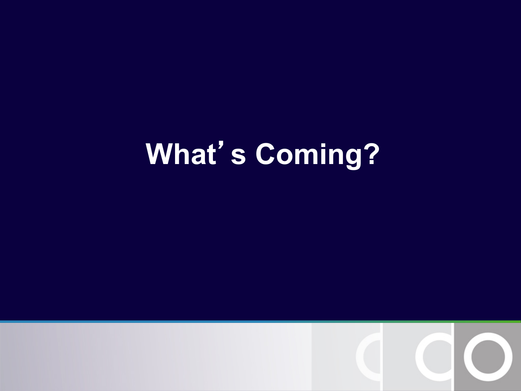# **What**'**s Coming?**

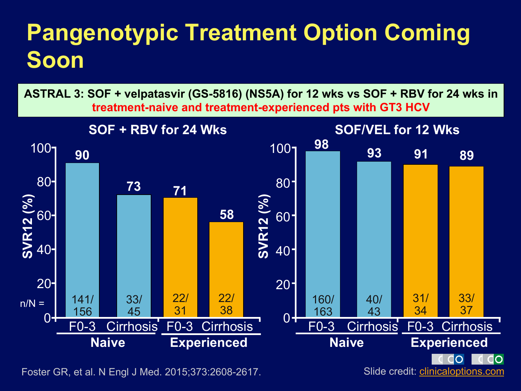### **Pangenotypic Treatment Option Coming Soon**



Foster GR, et al. N Engl J Med. 2015;373:2608-2617.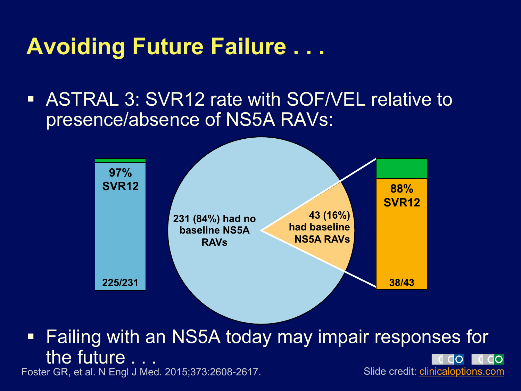### **Avoiding Future Failure . . .**

ASTRAL 3: SVR12 rate with SOF/VEL relative to presence/absence of NS5A RAVs:



■ Failing with an NS5A today may impair responses for the future . . . Foster GR, et al. N Engl J Med. 2015;373:2608-2617. Slide credit: *clinicaloptions.com*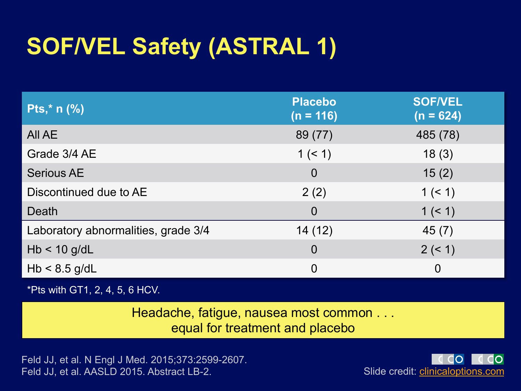### **SOF/VEL Safety (ASTRAL 1)**

| <b>Pts,*</b> $n$ (%)                | <b>Placebo</b><br>$(n = 116)$ | <b>SOF/VEL</b><br>$(n = 624)$ |
|-------------------------------------|-------------------------------|-------------------------------|
| All AE                              | 89 (77)                       | 485 (78)                      |
| Grade 3/4 AE                        | 1 (< 1)                       | 18(3)                         |
| <b>Serious AE</b>                   | $\overline{0}$                | 15(2)                         |
| Discontinued due to AE              | 2(2)                          | 1 (< 1)                       |
| Death                               | $\overline{0}$                | 1 (< 1)                       |
| Laboratory abnormalities, grade 3/4 | 14(12)                        | 45(7)                         |
| $Hb < 10$ g/dL                      | $\overline{0}$                | 2 (< 1)                       |
| $Hb < 8.5$ g/dL                     | $\overline{0}$                | $\mathbf 0$                   |

\*Pts with GT1, 2, 4, 5, 6 HCV.

Headache, fatigue, nausea most common . . . equal for treatment and placebo

Feld JJ, et al. N Engl J Med. 2015;373:2599-2607. Feld JJ, et al. AASLD 2015. Abstract LB-2.

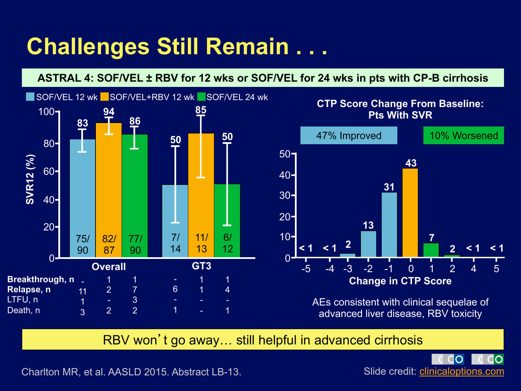### **Challenges Still Remain . . .**

#### **ASTRAL 4: SOF/VEL ± RBV for 12 wks or SOF/VEL for 24 wks in pts with CP-B cirrhosis**



#### $50 40 30 20 10 <$  1  $<$  1  $^2$ **13 31 43 7 2 < 1 < 1**  47% Improved 10% Worsened **CTP Score Change From Baseline: Pts With SVR**

-5 -4 -3 -2 -1 0 1 2 4 5

**Change in CTP Score** 

AEs consistent with clinical sequelae of advanced liver disease, RBV toxicity

RBV won't go away… still helpful in advanced cirrhosis

 $\Omega$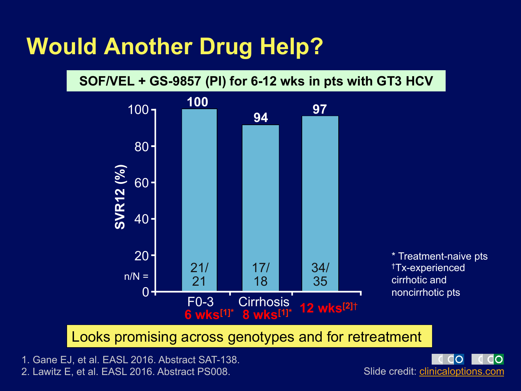### **Would Another Drug Help?**

**SOF/VEL + GS-9857 (PI) for 6-12 wks in pts with GT3 HCV** 



Looks promising across genotypes and for retreatment

1. Gane EJ, et al. EASL 2016. Abstract SAT-138. 2. Lawitz E, et al. EASL 2016. Abstract PS008.

IO Slide credit: clinicaloptions.com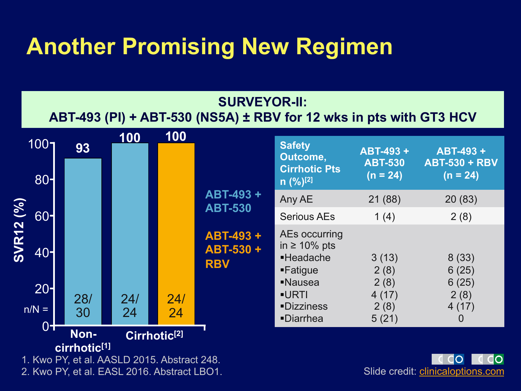### **Another Promising New Regimen**



2. Kwo PY, et al. EASL 2016. Abstract LBO1.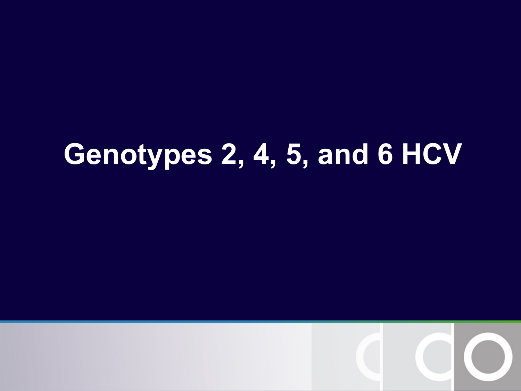# **Genotypes 2, 4, 5, and 6 HCV**

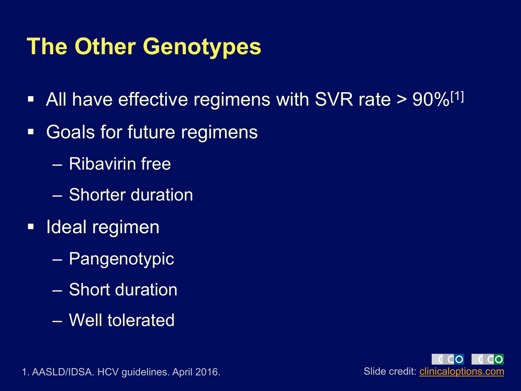### **The Other Genotypes**

- All have effective regimens with SVR rate  $> 90\%/11$
- Goals for future regimens
	- Ribavirin free
	- Shorter duration
- Ideal regimen
	- Pangenotypic
	- Short duration
	- Well tolerated



1. AASLD/IDSA. HCV guidelines. April 2016. Suite of the south of the Slide credit: *clinicaloptions.com*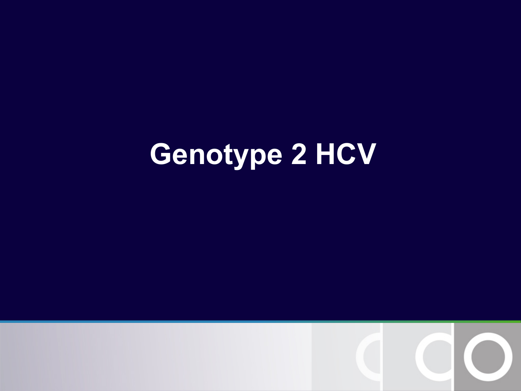# **Genotype 2 HCV**

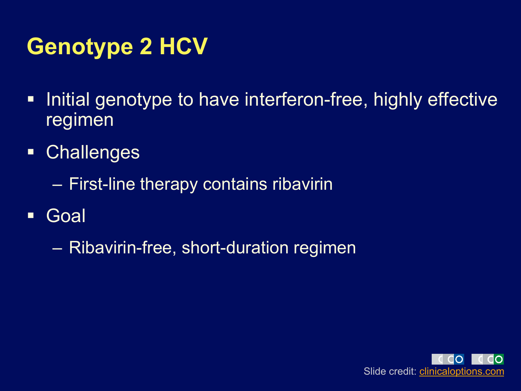### **Genotype 2 HCV**

- Initial genotype to have interferon-free, highly effective regimen
- § Challenges
	- First-line therapy contains ribavirin
- § Goal
	- Ribavirin-free, short-duration regimen

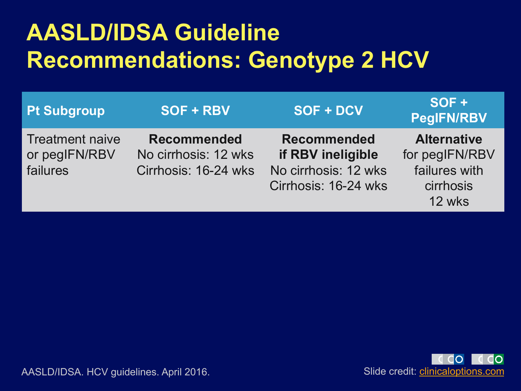### **AASLD/IDSA Guideline Recommendations: Genotype 2 HCV**

| <b>Pt Subgroup</b>                                  | SOF + RBV                                                          | SOF + DCV                                                                               | $SOF +$<br><b>PegIFN/RBV</b>                                                 |
|-----------------------------------------------------|--------------------------------------------------------------------|-----------------------------------------------------------------------------------------|------------------------------------------------------------------------------|
| <b>Treatment naive</b><br>or pegIFN/RBV<br>failures | <b>Recommended</b><br>No cirrhosis: 12 wks<br>Cirrhosis: 16-24 wks | <b>Recommended</b><br>if RBV ineligible<br>No cirrhosis: 12 wks<br>Cirrhosis: 16-24 wks | <b>Alternative</b><br>for pegIFN/RBV<br>failures with<br>cirrhosis<br>12 wks |



AASLD/IDSA. HCV guidelines. April 2016. Since the subset of the Slide credit: clinicaloptions.com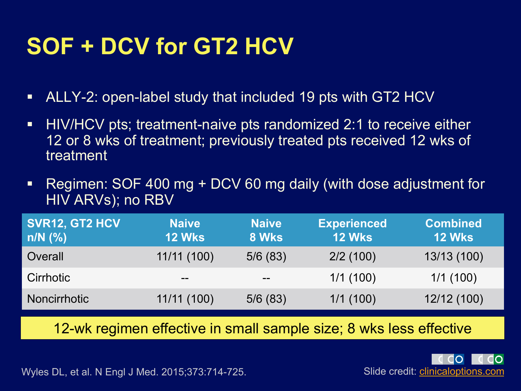### **SOF + DCV for GT2 HCV**

- ALLY-2: open-label study that included 19 pts with GT2 HCV
- HIV/HCV pts; treatment-naive pts randomized 2:1 to receive either 12 or 8 wks of treatment; previously treated pts received 12 wks of treatment
- § Regimen: SOF 400 mg + DCV 60 mg daily (with dose adjustment for HIV ARVs); no RBV

| SVR12, GT2 HCV<br>$\mathsf{in/N}$ (%) | <b>Naive</b><br><b>12 Wks</b> | <b>Naive</b><br>8 Wks | <b>Experienced</b><br><b>12 Wks</b> | <b>Combined</b><br><b>12 Wks</b> |
|---------------------------------------|-------------------------------|-----------------------|-------------------------------------|----------------------------------|
| Overall                               | 11/11(100)                    | 5/6(83)               | 2/2(100)                            | 13/13 (100)                      |
| Cirrhotic                             | $- -$                         | $- -$                 | 1/1(100)                            | 1/1(100)                         |
| Noncirrhotic                          | 11/11(100)                    | 5/6(83)               | 1/1(100)                            | 12/12 (100)                      |

12-wk regimen effective in small sample size; 8 wks less effective

Wyles DL, et al. N Engl J Med. 2015;373:714-725. Slide credit: *clinicaloptions.com*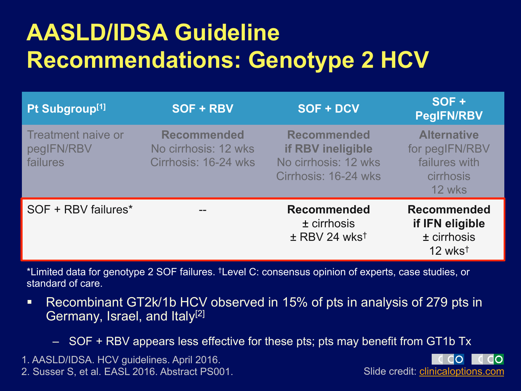### **AASLD/IDSA Guideline Recommendations: Genotype 2 HCV**

| Pt Subgroup <sup>[1]</sup>                          | SOF + RBV                                                          | SOF + DCV                                                                               | SOF+<br><b>PegIFN/RBV</b>                                                           |
|-----------------------------------------------------|--------------------------------------------------------------------|-----------------------------------------------------------------------------------------|-------------------------------------------------------------------------------------|
| <b>Treatment naive or</b><br>pegIFN/RBV<br>failures | <b>Recommended</b><br>No cirrhosis: 12 wks<br>Cirrhosis: 16-24 wks | <b>Recommended</b><br>if RBV ineligible<br>No cirrhosis: 12 wks<br>Cirrhosis: 16-24 wks | <b>Alternative</b><br>for pegIFN/RBV<br>failures with<br><b>cirrhosis</b><br>12 wks |
| SOF + RBV failures*                                 |                                                                    | <b>Recommended</b><br>$±$ cirrhosis<br>$\pm$ RBV 24 wks <sup>t</sup>                    | <b>Recommended</b><br>if IFN eligible<br>$±$ cirrhosis<br>$12 \text{ wks}^+$        |

\*Limited data for genotype 2 SOF failures. †Level C: consensus opinion of experts, case studies, or standard of care.

- § Recombinant GT2k/1b HCV observed in 15% of pts in analysis of 279 pts in Germany, Israel, and Italy<sup>[2]</sup>
	- SOF + RBV appears less effective for these pts; pts may benefit from GT1b Tx

1. AASLD/IDSA. HCV guidelines. April 2016. 2. Susser S, et al. EASL 2016. Abstract PS001. Slide credit: clinicaloptions.com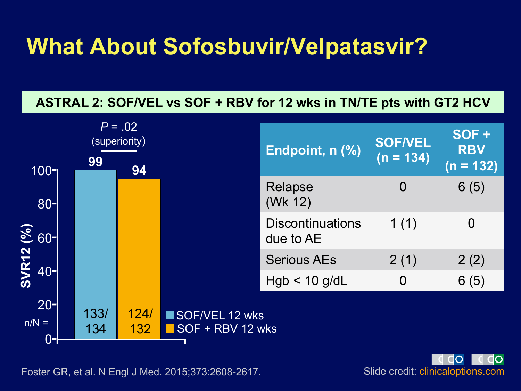### **What About Sofosbuvir/Velpatasvir?**

#### **ASTRAL 2: SOF/VEL vs SOF + RBV for 12 wks in TN/TE pts with GT2 HCV**



Slide credit: clinicaloptions.com

Foster GR, et al. N Engl J Med. 2015;373:2608-2617.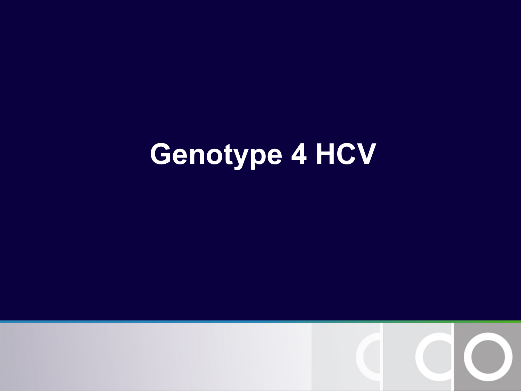# **Genotype 4 HCV**

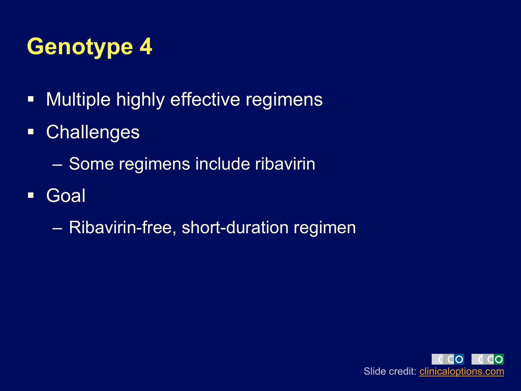### **Genotype 4**

- **Multiple highly effective regimens**
- § Challenges
	- Some regimens include ribavirin
- § Goal
	- Ribavirin-free, short-duration regimen

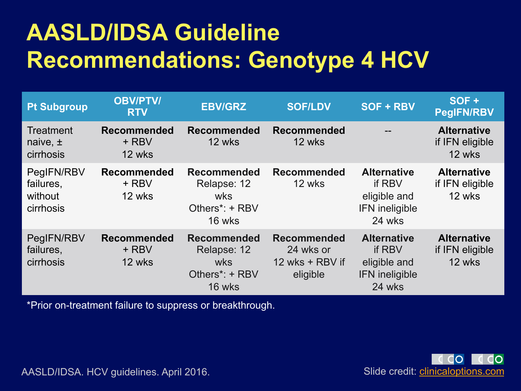### **AASLD/IDSA Guideline Recommendations: Genotype 4 HCV**

| <b>Pt Subgroup</b>                              | <b>OBV/PTV/</b><br><b>RTV</b>         | <b>EBV/GRZ</b>                                                                           | <b>SOF/LDV</b>                                                 | SOF + RBV                                                                       | SOF +<br><b>PegIFN/RBV</b>                      |
|-------------------------------------------------|---------------------------------------|------------------------------------------------------------------------------------------|----------------------------------------------------------------|---------------------------------------------------------------------------------|-------------------------------------------------|
| <b>Treatment</b><br>naive, $\pm$<br>cirrhosis   | <b>Recommended</b><br>+ RBV<br>12 wks | <b>Recommended</b><br>12 wks                                                             | <b>Recommended</b><br>12 wks                                   |                                                                                 | <b>Alternative</b><br>if IFN eligible<br>12 wks |
| PegIFN/RBV<br>failures,<br>without<br>cirrhosis | <b>Recommended</b><br>+ RBV<br>12 wks | <b>Recommended</b><br>Relapse: 12<br>wks<br>Others*: + RBV<br>16 wks                     | <b>Recommended</b><br>12 wks                                   | <b>Alternative</b><br>if RBV<br>eligible and<br><b>IFN</b> ineligible<br>24 wks | <b>Alternative</b><br>if IFN eligible<br>12 wks |
| PegIFN/RBV<br>failures,<br>cirrhosis            | <b>Recommended</b><br>+ RBV<br>12 wks | <b>Recommended</b><br>Relapse: 12<br><b>wks</b><br>Others <sup>*</sup> : + RBV<br>16 wks | <b>Recommended</b><br>24 wks or<br>12 wks + RBV if<br>eligible | <b>Alternative</b><br>if RBV<br>eligible and<br><b>IFN</b> ineligible<br>24 wks | <b>Alternative</b><br>if IFN eligible<br>12 wks |

\*Prior on-treatment failure to suppress or breakthrough.



AASLD/IDSA. HCV guidelines. April 2016.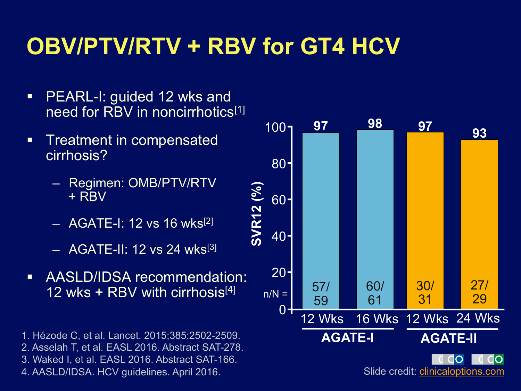### **OBV/PTV/RTV + RBV for GT4 HCV**

- PEARL-I: guided 12 wks and need for RBV in noncirrhotics<sup>[1]</sup>
- **Fig.** Treatment in compensated cirrhosis?
	- Regimen: OMB/PTV/RTV + RBV
	- $-$  AGATE-I: 12 vs 16 wks<sup>[2]</sup>
	- AGATE-II: 12 vs 24 wks[3]
- § AASLD/IDSA recommendation: 12 wks + RBV with cirrhosis<sup>[4]</sup>

1. Hézode C, et al. Lancet. 2015;385:2502-2509. 2. Asselah T, et al. EASL 2016. Abstract SAT-278. 3. Waked I, et al. EASL 2016. Abstract SAT-166. 4. AASLD/IDSA. HCV guidelines. April 2016.

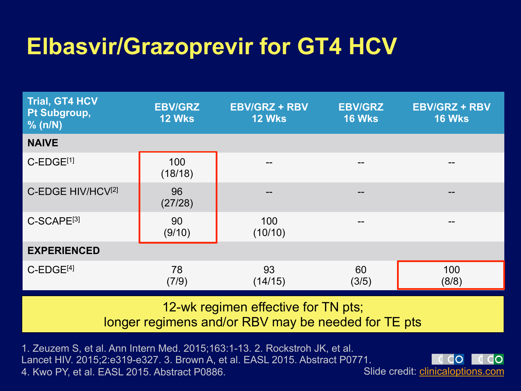### **Elbasvir/Grazoprevir for GT4 HCV**

| <b>Trial, GT4 HCV</b><br>Pt Subgroup,<br>$%$ (n/N) | <b>EBV/GRZ</b><br><b>12 Wks</b> | <b>EBV/GRZ + RBV</b><br><b>12 Wks</b> | <b>EBV/GRZ</b><br><b>16 Wks</b> | <b>EBV/GRZ + RBV</b><br><b>16 Wks</b> |
|----------------------------------------------------|---------------------------------|---------------------------------------|---------------------------------|---------------------------------------|
| <b>NAIVE</b>                                       |                                 |                                       |                                 |                                       |
| C-EDGE <sup>[1]</sup>                              | 100<br>(18/18)                  | --                                    | $ -$                            |                                       |
| C-EDGE HIV/HCV <sup>[2]</sup>                      | 96<br>(27/28)                   | --                                    | $\qquad \qquad -$               | --                                    |
| C-SCAPE <sup>[3]</sup>                             | 90<br>(9/10)                    | 100<br>(10/10)                        | $- -$                           |                                       |
| <b>EXPERIENCED</b>                                 |                                 |                                       |                                 |                                       |
| $C$ -EDGE <sup>[4]</sup>                           | 78<br>(7/9)                     | 93<br>(14/15)                         | 60<br>(3/5)                     | 100<br>(8/8)                          |

12-wk regimen effective for TN pts;

longer regimens and/or RBV may be needed for TE pts

1. Zeuzem S, et al. Ann Intern Med. 2015;163:1-13. 2. Rockstroh JK, et al. Lancet HIV. 2015;2:e319-e327. 3. Brown A, et al. EASL 2015. Abstract P0771. 4. Kwo PY, et al. EASL 2015. Abstract P0886.

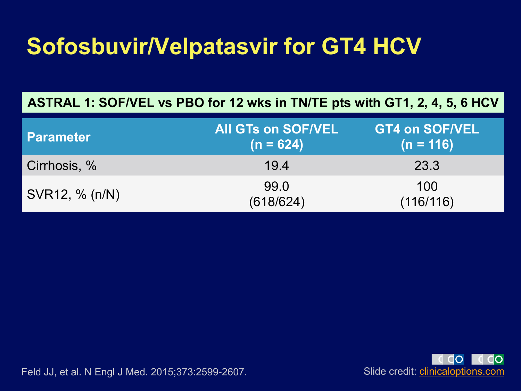### **Sofosbuvir/Velpatasvir for GT4 HCV**

#### **ASTRAL 1: SOF/VEL vs PBO for 12 wks in TN/TE pts with GT1, 2, 4, 5, 6 HCV**

| <b>Parameter</b> | All GTs on SOF/VEL<br>$(n = 624)$ | <b>GT4 on SOF/VEL</b><br>$(n = 116)$ |
|------------------|-----------------------------------|--------------------------------------|
| Cirrhosis, %     | 19.4                              | 23.3                                 |
| SVR12, % (n/N)   | 99.0<br>(618/624)                 | 100<br>(116/116)                     |

Slide credit: clinicaloptions.com

Feld JJ, et al. N Engl J Med. 2015;373:2599-2607.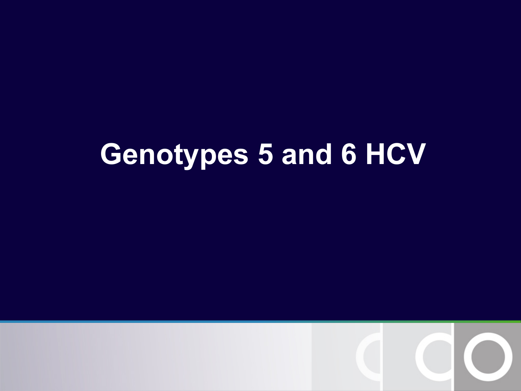## **Genotypes 5 and 6 HCV**

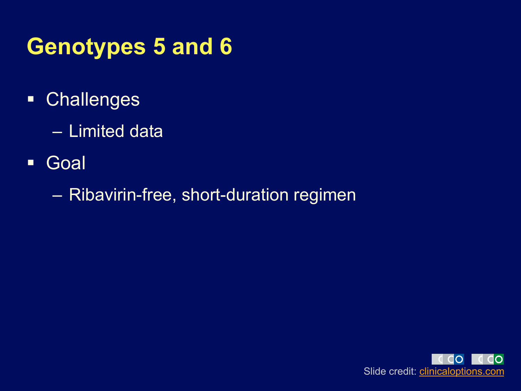### **Genotypes 5 and 6**

- § Challenges
	- Limited data
- § Goal
	- Ribavirin-free, short-duration regimen

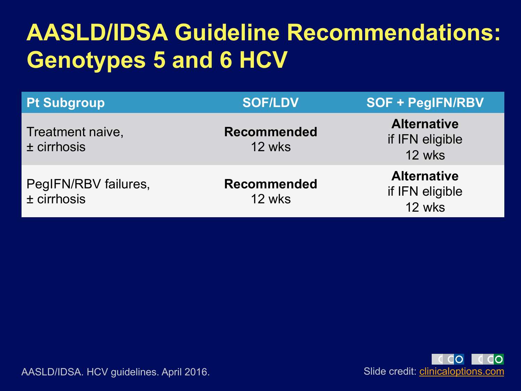### **AASLD/IDSA Guideline Recommendations: Genotypes 5 and 6 HCV**

| <b>Pt Subgroup</b>                    | <b>SOF/LDV</b>               | <b>SOF + PegIFN/RBV</b>                         |
|---------------------------------------|------------------------------|-------------------------------------------------|
| Treatment naive,<br>$±$ cirrhosis     | <b>Recommended</b><br>12 wks | <b>Alternative</b><br>if IFN eligible<br>12 wks |
| PegIFN/RBV failures,<br>$±$ cirrhosis | <b>Recommended</b><br>12 wks | <b>Alternative</b><br>if IFN eligible<br>12 wks |



AASLD/IDSA. HCV guidelines. April 2016. Suite of the south of the Slide credit: *clinicaloptions.com*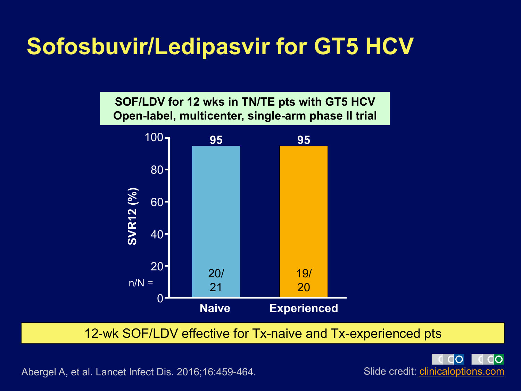### **Sofosbuvir/Ledipasvir for GT5 HCV**



12-wk SOF/LDV effective for Tx-naive and Tx-experienced pts



Abergel A, et al. Lancet Infect Dis. 2016;16:459-464.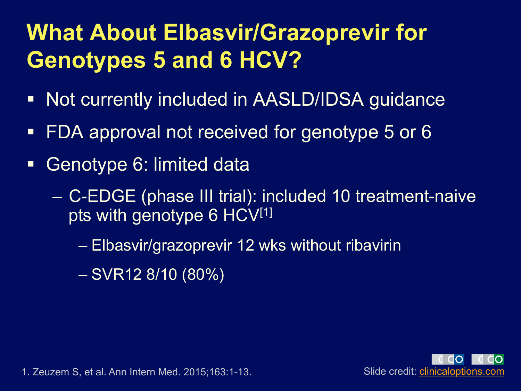### **What About Elbasvir/Grazoprevir for Genotypes 5 and 6 HCV?**

- Not currently included in AASLD/IDSA guidance
- FDA approval not received for genotype 5 or 6
- **Genotype 6: limited data** 
	- C-EDGE (phase III trial): included 10 treatment-naive pts with genotype 6 HCV[1]
		- Elbasvir/grazoprevir 12 wks without ribavirin
		- SVR12 8/10 (80%)



1. Zeuzem S, et al. Ann Intern Med. 2015;163:1-13. Slide credit: *clinicaloptions.com*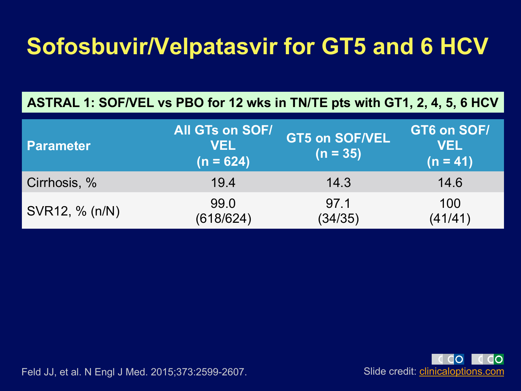### **Sofosbuvir/Velpatasvir for GT5 and 6 HCV**

**ASTRAL 1: SOF/VEL vs PBO for 12 wks in TN/TE pts with GT1, 2, 4, 5, 6 HCV** 

| <b>Parameter</b> | <b>All GTs on SOF/</b><br><b>VEL</b><br>$(n = 624)$ | <b>GT5 on SOF/VEL</b><br>$(n = 35)$ | GT6 on SOF/<br><b>VEL</b><br>$(n = 41)$ |
|------------------|-----------------------------------------------------|-------------------------------------|-----------------------------------------|
| Cirrhosis, %     | 19.4                                                | 14.3                                | 14.6                                    |
| SVR12, % (n/N)   | 99.0<br>(618/624)                                   | 97.1<br>(34/35)                     | 100<br>(41/41)                          |



Feld JJ, et al. N Engl J Med. 2015;373:2599-2607.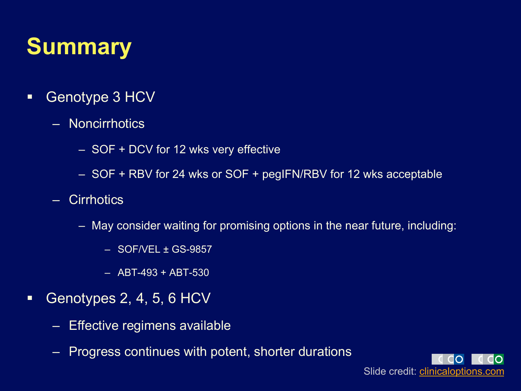### **Summary**

- Genotype 3 HCV
	- Noncirrhotics
		- SOF + DCV for 12 wks very effective
		- SOF + RBV for 24 wks or SOF + pegIFN/RBV for 12 wks acceptable
	- Cirrhotics
		- May consider waiting for promising options in the near future, including:
			- SOF/VEL ± GS-9857
			- ABT-493 + ABT-530
- Genotypes 2, 4, 5, 6 HCV
	- Effective regimens available
	- Progress continues with potent, shorter durations